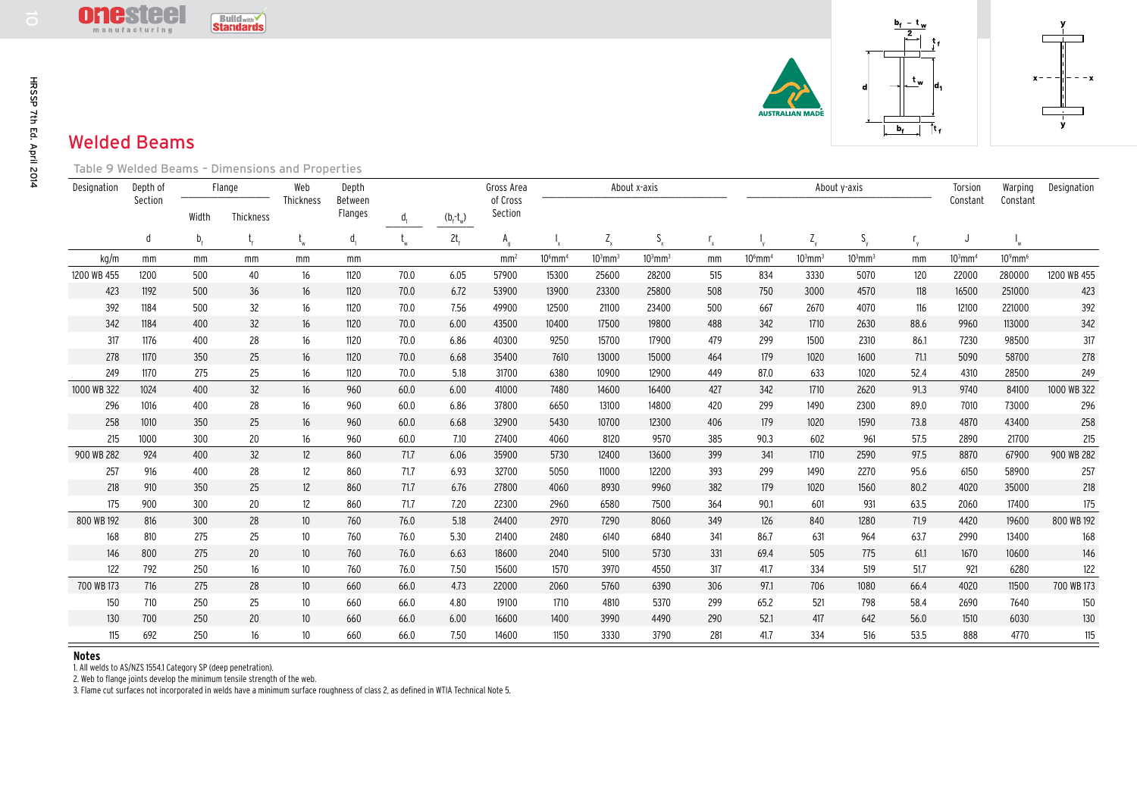

## Welded Beams

| HRSSP 7th Ed. April 2014 |             | $\blacksquare$<br><b>GST</b><br>manufacturing    |                | <b>Build with</b><br><b>Standards</b> |                 |                    |                |             |                     |                       |              |                           |                           |                       |              |              | $\overline{2}$<br>$\mathbf{t}$<br>$\mathfrak{r}_{\mathsf{w}}$ | ld.                   | $x -$                  |             |
|--------------------------|-------------|--------------------------------------------------|----------------|---------------------------------------|-----------------|--------------------|----------------|-------------|---------------------|-----------------------|--------------|---------------------------|---------------------------|-----------------------|--------------|--------------|---------------------------------------------------------------|-----------------------|------------------------|-------------|
|                          |             | <b>Welded Beams</b>                              |                |                                       |                 |                    |                |             |                     |                       |              |                           |                           |                       |              |              | b.                                                            |                       |                        |             |
|                          |             | Table 9 Welded Beams - Dimensions and Properties |                |                                       |                 |                    |                |             |                     |                       |              |                           |                           |                       |              |              |                                                               |                       |                        |             |
|                          | Designation | Depth of<br>Section                              | Flange         |                                       | Web             | Depth              |                |             | Gross Area          | About x-axis          |              |                           |                           |                       |              | About y-axis |                                                               | Torsion               | Warping                | Designation |
|                          |             |                                                  | Width          | Thickness                             | Thickness       | Between<br>Flanges | $\mathsf{d}_1$ | $(b_f-t_w)$ | of Cross<br>Section |                       |              |                           |                           |                       |              |              |                                                               | Constant              | Constant               |             |
|                          |             | d                                                | b <sub>f</sub> |                                       | $t_{w}$         | $d_{1}$            |                | $2t_f$      | $A_{q}$             |                       | $Z_{x}$      | $\mathsf{S}_{\mathsf{x}}$ | $\mathsf{r}_{\mathsf{x}}$ |                       | $Z_{\rm v}$  | $S_{v}$      | $r_{y}$                                                       | J                     |                        |             |
|                          | kg/m        | mm                                               | mm             | mm                                    | mm              | mm                 |                |             | mm <sup>2</sup>     | $106$ mm <sup>4</sup> | $103$ mm $3$ | $103$ mm $3$              | mm                        | $106$ mm <sup>4</sup> | $103$ mm $3$ | $103$ mm $3$ | mm                                                            | $103$ mm <sup>4</sup> | $10^9$ mm <sup>6</sup> |             |
|                          | 1200 WB 455 | 1200                                             | 500            | 40                                    | 16              | 1120               | 70.0           | 6.05        | 57900               | 15300                 | 25600        | 28200                     | 515                       | 834                   | 3330         | 5070         | 120                                                           | 22000                 | 280000                 | 1200 WB 455 |
|                          | 423         | 1192                                             | 500            | 36                                    | 16              | 1120               | 70.0           | 6.72        | 53900               | 13900                 | 23300        | 25800                     | 508                       | 750                   | 3000         | 4570         | 118                                                           | 16500                 | 251000                 | 423         |
|                          | 392         | 1184                                             | 500            | 32                                    | 16              | 1120               | 70.0           | 7.56        | 49900               | 12500                 | 21100        | 23400                     | 500                       | 667                   | 2670         | 4070         | 116                                                           | 12100                 | 221000                 | 392         |
|                          | 342         | 1184                                             | 400            | 32                                    | 16              | 1120               | 70.0           | 6.00        | 43500               | 10400                 | 17500        | 19800                     | 488                       | 342                   | 1710         | 2630         | 88.6                                                          | 9960                  | 113000                 | 342         |
|                          | 317         | 1176                                             | 400            | 28                                    | 16              | 1120               | 70.0           | 6.86        | 40300               | 9250                  | 15700        | 17900                     | 479                       | 299                   | 1500         | 2310         | 86.1                                                          | 7230                  | 98500                  | 317         |
|                          | 278         | 1170                                             | 350            | 25                                    | 16              | 1120               | 70.0           | 6.68        | 35400               | 7610                  | 13000        | 15000                     | 464                       | 179                   | 1020         | 1600         | 71.1                                                          | 5090                  | 58700                  | 278         |
|                          | 249         | 1170                                             | 275            | 25                                    | 16              | 1120               | 70.0           | 5.18        | 31700               | 6380                  | 10900        | 12900                     | 449                       | 87.0                  | 633          | 1020         | 52.4                                                          | 4310                  | 28500                  | 249         |
|                          | 1000 WB 322 | 1024                                             | 400            | 32                                    | 16              | 960                | 60.0           | 6.00        | 41000               | 7480                  | 14600        | 16400                     | 427                       | 342                   | 1710         | 2620         | 91.3                                                          | 9740                  | 84100                  | 1000 WB 322 |
|                          | 296         | 1016                                             | 400            | 28                                    | 16              | 960                | 60.0           | 6.86        | 37800               | 6650                  | 13100        | 14800                     | 420                       | 299                   | 1490         | 2300         | 89.0                                                          | 7010                  | 73000                  | 296         |
|                          | 258         | 1010                                             | 350            | 25                                    | 16              | 960                | 60.0           | 6.68        | 32900               | 5430                  | 10700        | 12300                     | 406                       | 179                   | 1020         | 1590         | 73.8                                                          | 4870                  | 43400                  | 258         |
|                          | 215         | 1000                                             | 300            | 20                                    | 16              | 960                | 60.0           | 7.10        | 27400               | 4060                  | 8120         | 9570                      | 385                       | 90.3                  | 602          | 961          | 57.5                                                          | 2890                  | 21700                  | 215         |
|                          | 900 WB 282  | 924                                              | 400            | 32                                    | 12              | 860                | 71.7           | 6.06        | 35900               | 5730                  | 12400        | 13600                     | 399                       | 341                   | 1710         | 2590         | 97.5                                                          | 8870                  | 67900                  | 900 WB 282  |
|                          | 257         | 916                                              | 400            | 28                                    | 12              | 860                | 71.7           | 6.93        | 32700               | 5050                  | 11000        | 12200                     | 393                       | 299                   | 1490         | 2270         | 95.6                                                          | 6150                  | 58900                  | 257         |
|                          | 218         | 910                                              | 350            | 25                                    | $12\,$          | 860                | 71.7           | 6.76        | 27800               | 4060                  | 8930         | 9960                      | 382                       | 179                   | 1020         | 1560         | 80.2                                                          | 4020                  | 35000                  | 218         |
|                          | 175         | 900                                              | 300            | 20                                    | 12              | 860                | 71.7           | 7.20        | 22300               | 2960                  | 6580         | 7500                      | 364                       | 90.1                  | 601          | 931          | 63.5                                                          | 2060                  | 17400                  | 175         |
|                          | 800 WB 192  | 816                                              | 300            | 28                                    | 10 <sup>°</sup> | 760                | 76.0           | 5.18        | 24400               | 2970                  | 7290         | 8060                      | 349                       | 126                   | 840          | 1280         | 71.9                                                          | 4420                  | 19600                  | 800 WB 192  |
|                          | 168         | 810                                              | 275            | 25                                    | 10 <sup>°</sup> | 760                | 76.0           | 5.30        | 21400               | 2480                  | 6140         | 6840                      | 341                       | 86.7                  | 631          | 964          | 63.7                                                          | 2990                  | 13400                  | 168         |
|                          | 146         | 800                                              | 275            | 20                                    | 10 <sup>°</sup> | 760                | 76.0           | 6.63        | 18600               | 2040                  | 5100         | 5730                      | 331                       | 69.4                  | 505          | 775          | 61.1                                                          | 1670                  | 10600                  | 146         |
|                          | 122         | 792                                              | 250            | 16                                    | 10              | 760                | 76.0           | 7.50        | 15600               | 1570                  | 3970         | 4550                      | 317                       | 41.7                  | 334          | 519          | 51.7                                                          | 921                   | 6280                   | 122         |
|                          | 700 WB 173  | 716                                              | 275            | 28                                    | 10              | 660                | 66.0           | 4.73        | 22000               | 2060                  | 5760         | 6390                      | 306                       | 97.1                  | 706          | 1080         | 66.4                                                          | 4020                  | 11500                  | 700 WB 173  |
|                          | 150         | 710                                              | 250            | 25                                    | 10              | 660                | 66.0           | 4.80        | 19100               | 1710                  | 4810         | 5370                      | 299                       | 65.2                  | 521          | 798          | 58.4                                                          | 2690                  | 7640                   | 150         |
|                          | 130         | 700                                              | 250            | 20                                    | 10 <sup>°</sup> | 660                | 66.0           | 6.00        | 16600               | 1400                  | 3990         | 4490                      | 290                       | 52.1                  | 417          | 642          | 56.0                                                          | 1510                  | 6030                   | 130         |
|                          | 115         | 692                                              | 250            | 16                                    | 10              | 660                | 66.0           | 7.50        | 14600               | 1150                  | 3330         | 3790                      | 281                       | 41.7                  | 334          | 516          | 53.5                                                          | 888                   | 4770                   | 115         |

**Notes** 1. All welds to AS/NZS 1554.1 Category SP (deep penetration).

2. Web to flange joints develop the minimum tensile strength of the web.

3. Flame cut surfaces not incorporated in welds have a minimum surface roughness of class 2, as defined in WTIA Technical Note 5.